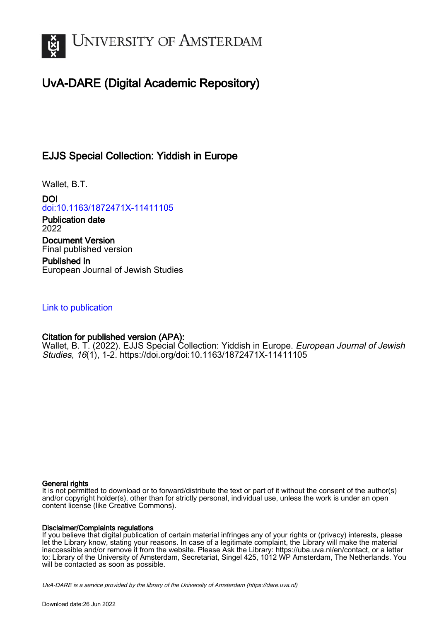

# UvA-DARE (Digital Academic Repository)

## EJJS Special Collection: Yiddish in Europe

Wallet, B.T.

DOI [doi:10.1163/1872471X-11411105](https://doi.org/doi:10.1163/1872471X-11411105)

Publication date 2022

Document Version Final published version

Published in European Journal of Jewish Studies

### [Link to publication](https://dare.uva.nl/personal/pure/en/publications/ejjs-special-collection-yiddish-in-europe(937984cb-037d-40cb-ba45-212c05fa0f5f).html)

### Citation for published version (APA):

Wallet, B. T. (2022). EJJS Special Collection: Yiddish in Europe. European Journal of Jewish Studies, 16(1), 1-2.<https://doi.org/doi:10.1163/1872471X-11411105>

#### General rights

It is not permitted to download or to forward/distribute the text or part of it without the consent of the author(s) and/or copyright holder(s), other than for strictly personal, individual use, unless the work is under an open content license (like Creative Commons).

#### Disclaimer/Complaints regulations

If you believe that digital publication of certain material infringes any of your rights or (privacy) interests, please let the Library know, stating your reasons. In case of a legitimate complaint, the Library will make the material inaccessible and/or remove it from the website. Please Ask the Library: https://uba.uva.nl/en/contact, or a letter to: Library of the University of Amsterdam, Secretariat, Singel 425, 1012 WP Amsterdam, The Netherlands. You will be contacted as soon as possible.

UvA-DARE is a service provided by the library of the University of Amsterdam (http*s*://dare.uva.nl)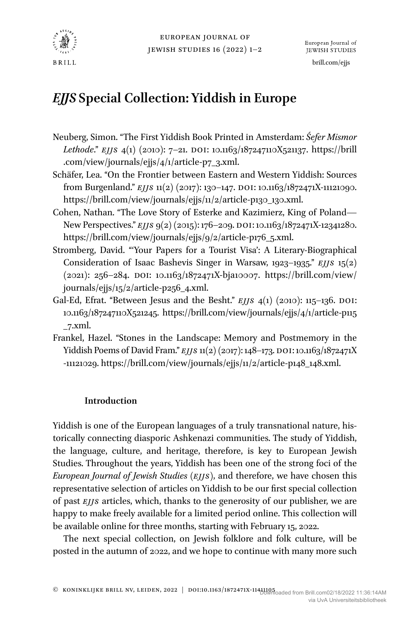

## *EJJS* **Special Collection: Yiddish in Europe**

- Neuberg, Simon. "The First Yiddish Book Printed in Amsterdam: *Śefer Mismor Lethode.*" *EJJS* 4(1) (2010): 7-21. DOI: [10.1163/187247110X521137](https://doi.org/10.1163/187247110X521137). [https://brill](https://brill.com/view/journals/ejjs/4/1/article-p7_3.xml) [.com/view/journals/ejjs/4/1/article-p7\\_3.xml](https://brill.com/view/journals/ejjs/4/1/article-p7_3.xml).
- Schäfer, Lea. "On the Frontier between Eastern and Western Yiddish: Sources from Burgenland." *EJJS* 11(2) (2017): 130-147. DOI: [10.1163/1872471X-11121090](https://doi.org/10.1163/1872471X-11121090). [https://brill.com/view/journals/ejjs/11/2/article-p130\\_130.xml](https://brill.com/view/journals/ejjs/11/2/article-p130_130.xml).
- Cohen, Nathan. "The Love Story of Esterke and Kazimierz, King of Poland— New Perspectives." *EJJS* 9(2) (2015): 176–209. DOI: [10.1163/1872471X-12341280](https://doi.org/10.1163/1872471X-12341280). [https://brill.com/view/journals/ejjs/9/2/article-p176\\_5.xml.](https://brill.com/view/journals/ejjs/9/2/article-p176_5.xml)
- Stromberg, David. "'Your Papers for a Tourist Visa': A Literary-Biographical Consideration of Isaac Bashevis Singer in Warsaw, 1923–1935." *EJJS* 15(2)  $(2021): 256-284.$  DOI: [10.1163/1872471X-bja10007.](https://doi.org/10.1163/1872471X-bja10007) [https://brill.com/view/](https://brill.com/view/journals/ejjs/15/2/article-p256_4.xml) [journals/ejjs/15/2/article-p256\\_4.xml](https://brill.com/view/journals/ejjs/15/2/article-p256_4.xml).
- Gal-Ed, Efrat. "Between Jesus and the Besht." *EJJS* 4(1) (2010): 115-136. DOI: [10.1163/187247110X521245](https://doi.org/10.1163/187247110X521245). [https://brill.com/view/journals/ejjs/4/1/article-p115](https://brill.com/view/journals/ejjs/4/1/article-p115_7.xml) [\\_7.xml](https://brill.com/view/journals/ejjs/4/1/article-p115_7.xml).
- Frankel, Hazel. "Stones in the Landscape: Memory and Postmemory in the Yiddish Poems of David Fram." *EJJS* 11(2) (2017): 148-173. DOI: [10.1163/1872471X](https://doi.org/10.1163/1872471X-11121029) [-11121029.](https://doi.org/10.1163/1872471X-11121029) [https://brill.com/view/journals/ejjs/11/2/article-p148\\_148.xml](https://brill.com/view/journals/ejjs/11/2/article-p148_148.xml).

#### **Introduction**

Yiddish is one of the European languages of a truly transnational nature, historically connecting diasporic Ashkenazi communities. The study of Yiddish, the language, culture, and heritage, therefore, is key to European Jewish Studies. Throughout the years, Yiddish has been one of the strong foci of the *European Journal of Jewish Studies* (*EJJS*), and therefore, we have chosen this representative selection of articles on Yiddish to be our first special collection of past *EJJS* articles, which, thanks to the generosity of our publisher, we are happy to make freely available for a limited period online. This collection will be available online for three months, starting with February 15, 2022.

The next special collection, on Jewish folklore and folk culture, will be posted in the autumn of 2022, and we hope to continue with many more such